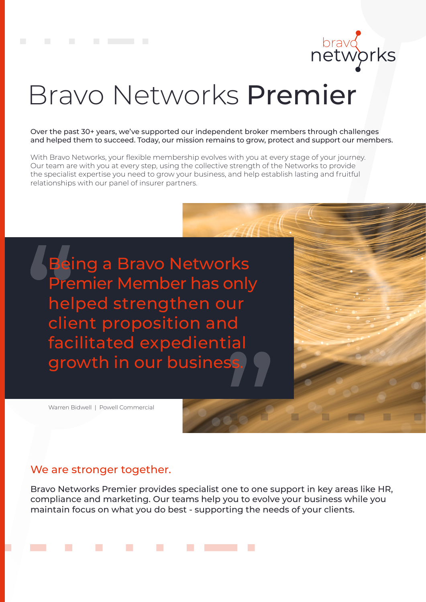

# Bravo Networks Premier

Over the past 30+ years, we've supported our independent broker members through challenges and helped them to succeed. Today, our mission remains to grow, protect and support our members.

With Bravo Networks, your flexible membership evolves with you at every stage of your journey. Our team are with you at every step, using the collective strength of the Networks to provide the specialist expertise you need to grow your business, and help establish lasting and fruitful relationships with our panel of insurer partners.

Being a Bravo Networks Premier Member has only helped strengthen our client proposition and facilitated expediential growth in our busines

Warren Bidwell | Powell Commercial

#### We are stronger together.

Bravo Networks Premier provides specialist one to one support in key areas like HR, compliance and marketing. Our teams help you to evolve your business while you maintain focus on what you do best - supporting the needs of your clients.